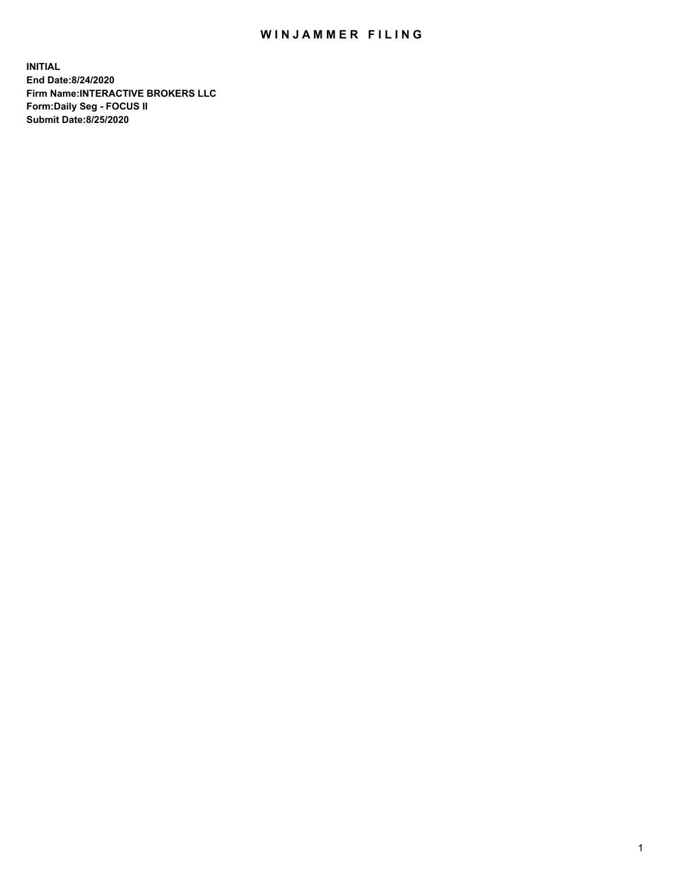## WIN JAMMER FILING

**INITIAL End Date:8/24/2020 Firm Name:INTERACTIVE BROKERS LLC Form:Daily Seg - FOCUS II Submit Date:8/25/2020**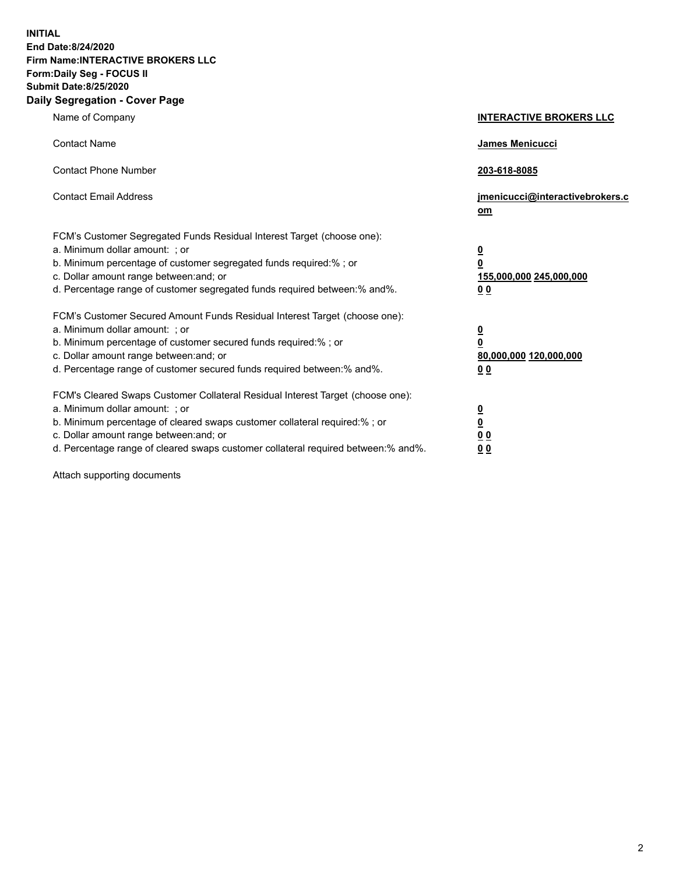**INITIAL End Date:8/24/2020 Firm Name:INTERACTIVE BROKERS LLC Form:Daily Seg - FOCUS II Submit Date:8/25/2020 Daily Segregation - Cover Page**

| Name of Company                                                                                                                                                                                                                                                                                                                | <b>INTERACTIVE BROKERS LLC</b>                                                   |
|--------------------------------------------------------------------------------------------------------------------------------------------------------------------------------------------------------------------------------------------------------------------------------------------------------------------------------|----------------------------------------------------------------------------------|
| <b>Contact Name</b>                                                                                                                                                                                                                                                                                                            | James Menicucci                                                                  |
| <b>Contact Phone Number</b>                                                                                                                                                                                                                                                                                                    | 203-618-8085                                                                     |
| <b>Contact Email Address</b>                                                                                                                                                                                                                                                                                                   | jmenicucci@interactivebrokers.c<br>om                                            |
| FCM's Customer Segregated Funds Residual Interest Target (choose one):<br>a. Minimum dollar amount: ; or<br>b. Minimum percentage of customer segregated funds required:% ; or<br>c. Dollar amount range between: and; or<br>d. Percentage range of customer segregated funds required between:% and%.                         | <u>0</u><br>$\overline{\mathbf{0}}$<br>155,000,000 245,000,000<br>0 <sub>0</sub> |
| FCM's Customer Secured Amount Funds Residual Interest Target (choose one):<br>a. Minimum dollar amount: ; or<br>b. Minimum percentage of customer secured funds required:% ; or<br>c. Dollar amount range between: and; or<br>d. Percentage range of customer secured funds required between:% and%.                           | <u>0</u><br>$\overline{\mathbf{0}}$<br>80,000,000 120,000,000<br>0 <sub>0</sub>  |
| FCM's Cleared Swaps Customer Collateral Residual Interest Target (choose one):<br>a. Minimum dollar amount: ; or<br>b. Minimum percentage of cleared swaps customer collateral required:% ; or<br>c. Dollar amount range between: and; or<br>d. Percentage range of cleared swaps customer collateral required between:% and%. | <u>0</u><br>$\underline{\mathbf{0}}$<br>0 <sub>0</sub><br>0 <sub>0</sub>         |

Attach supporting documents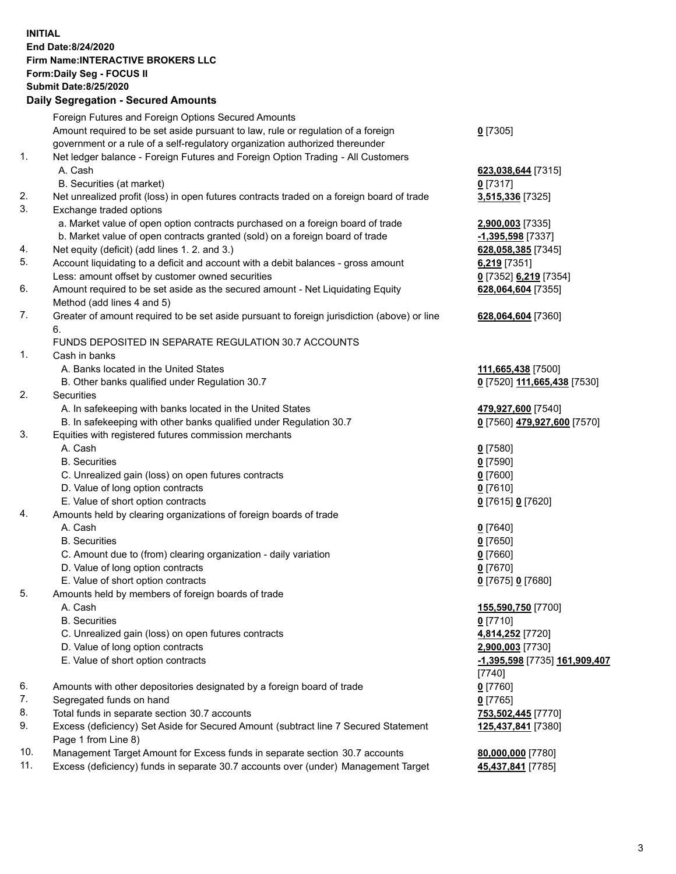**INITIAL End Date:8/24/2020 Firm Name:INTERACTIVE BROKERS LLC Form:Daily Seg - FOCUS II Submit Date:8/25/2020 Daily Segregation - Secured Amounts**

|     | Daily Segregation - Secureu Amounts                                                         |                               |
|-----|---------------------------------------------------------------------------------------------|-------------------------------|
|     | Foreign Futures and Foreign Options Secured Amounts                                         |                               |
|     | Amount required to be set aside pursuant to law, rule or regulation of a foreign            | $0$ [7305]                    |
|     | government or a rule of a self-regulatory organization authorized thereunder                |                               |
| 1.  | Net ledger balance - Foreign Futures and Foreign Option Trading - All Customers             |                               |
|     | A. Cash                                                                                     | 623,038,644 [7315]            |
|     | B. Securities (at market)                                                                   | $0$ [7317]                    |
| 2.  | Net unrealized profit (loss) in open futures contracts traded on a foreign board of trade   | 3,515,336 [7325]              |
| 3.  | Exchange traded options                                                                     |                               |
|     | a. Market value of open option contracts purchased on a foreign board of trade              | 2,900,003 [7335]              |
|     | b. Market value of open contracts granted (sold) on a foreign board of trade                | -1,395,598 [7337]             |
| 4.  | Net equity (deficit) (add lines 1. 2. and 3.)                                               | 628,058,385 [7345]            |
| 5.  | Account liquidating to a deficit and account with a debit balances - gross amount           | 6,219 [7351]                  |
|     | Less: amount offset by customer owned securities                                            | 0 [7352] 6,219 [7354]         |
| 6.  | Amount required to be set aside as the secured amount - Net Liquidating Equity              | 628,064,604 [7355]            |
|     | Method (add lines 4 and 5)                                                                  |                               |
| 7.  | Greater of amount required to be set aside pursuant to foreign jurisdiction (above) or line | 628,064,604 [7360]            |
|     | 6.                                                                                          |                               |
|     | FUNDS DEPOSITED IN SEPARATE REGULATION 30.7 ACCOUNTS                                        |                               |
| 1.  | Cash in banks                                                                               |                               |
|     | A. Banks located in the United States                                                       | 111,665,438 [7500]            |
|     | B. Other banks qualified under Regulation 30.7                                              | 0 [7520] 111,665,438 [7530]   |
| 2.  | <b>Securities</b>                                                                           |                               |
|     | A. In safekeeping with banks located in the United States                                   | 479,927,600 [7540]            |
|     | B. In safekeeping with other banks qualified under Regulation 30.7                          | 0 [7560] 479,927,600 [7570]   |
| 3.  | Equities with registered futures commission merchants                                       |                               |
|     | A. Cash                                                                                     | $0$ [7580]                    |
|     | <b>B.</b> Securities                                                                        | $0$ [7590]                    |
|     | C. Unrealized gain (loss) on open futures contracts                                         | $0$ [7600]                    |
|     | D. Value of long option contracts                                                           | $0$ [7610]                    |
|     | E. Value of short option contracts                                                          | 0 [7615] 0 [7620]             |
| 4.  | Amounts held by clearing organizations of foreign boards of trade                           |                               |
|     | A. Cash                                                                                     | $0$ [7640]                    |
|     | <b>B.</b> Securities                                                                        | $0$ [7650]                    |
|     | C. Amount due to (from) clearing organization - daily variation                             | $0$ [7660]                    |
|     | D. Value of long option contracts                                                           | $0$ [7670]                    |
|     | E. Value of short option contracts                                                          | 0 [7675] 0 [7680]             |
| 5.  | Amounts held by members of foreign boards of trade                                          |                               |
|     | A. Cash                                                                                     | 155,590,750 [7700]            |
|     | <b>B.</b> Securities                                                                        | $0$ [7710]                    |
|     | C. Unrealized gain (loss) on open futures contracts                                         | 4,814,252 [7720]              |
|     | D. Value of long option contracts                                                           | 2,900,003 [7730]              |
|     | E. Value of short option contracts                                                          | -1,395,598 [7735] 161,909,407 |
|     |                                                                                             | $[7740]$                      |
| 6.  | Amounts with other depositories designated by a foreign board of trade                      | $0$ [7760]                    |
| 7.  | Segregated funds on hand                                                                    | $0$ [7765]                    |
| 8.  | Total funds in separate section 30.7 accounts                                               | 753,502,445 [7770]            |
| 9.  | Excess (deficiency) Set Aside for Secured Amount (subtract line 7 Secured Statement         | 125,437,841 [7380]            |
|     | Page 1 from Line 8)                                                                         |                               |
| 10. | Management Target Amount for Excess funds in separate section 30.7 accounts                 | 80,000,000 [7780]             |
| 11. | Excess (deficiency) funds in separate 30.7 accounts over (under) Management Target          | 45,437,841 [7785]             |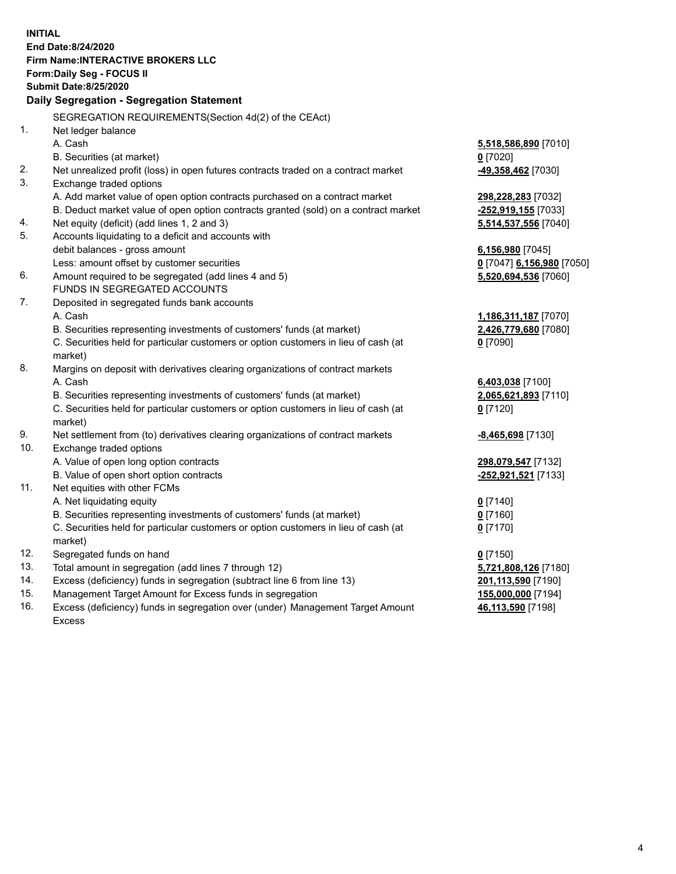**INITIAL End Date:8/24/2020 Firm Name:INTERACTIVE BROKERS LLC Form:Daily Seg - FOCUS II Submit Date:8/25/2020 Daily Segregation - Segregation Statement** SEGREGATION REQUIREMENTS(Section 4d(2) of the CEAct) 1. Net ledger balance A. Cash **5,518,586,890** [7010] B. Securities (at market) **0** [7020] 2. Net unrealized profit (loss) in open futures contracts traded on a contract market **-49,358,462** [7030] 3. Exchange traded options A. Add market value of open option contracts purchased on a contract market **298,228,283** [7032] B. Deduct market value of open option contracts granted (sold) on a contract market **-252,919,155** [7033] 4. Net equity (deficit) (add lines 1, 2 and 3) **5,514,537,556** [7040] 5. Accounts liquidating to a deficit and accounts with debit balances - gross amount **6,156,980** [7045] Less: amount offset by customer securities **0** [7047] **6,156,980** [7050] 6. Amount required to be segregated (add lines 4 and 5) **5,520,694,536** [7060] FUNDS IN SEGREGATED ACCOUNTS 7. Deposited in segregated funds bank accounts A. Cash **1,186,311,187** [7070] B. Securities representing investments of customers' funds (at market) **2,426,779,680** [7080] C. Securities held for particular customers or option customers in lieu of cash (at market) **0** [7090] 8. Margins on deposit with derivatives clearing organizations of contract markets A. Cash **6,403,038** [7100] B. Securities representing investments of customers' funds (at market) **2,065,621,893** [7110] C. Securities held for particular customers or option customers in lieu of cash (at market) **0** [7120] 9. Net settlement from (to) derivatives clearing organizations of contract markets **-8,465,698** [7130] 10. Exchange traded options A. Value of open long option contracts **298,079,547** [7132] B. Value of open short option contracts **-252,921,521** [7133] 11. Net equities with other FCMs A. Net liquidating equity **0** [7140] B. Securities representing investments of customers' funds (at market) **0** [7160] C. Securities held for particular customers or option customers in lieu of cash (at market) **0** [7170] 12. Segregated funds on hand **0** [7150] 13. Total amount in segregation (add lines 7 through 12) **5,721,808,126** [7180] 14. Excess (deficiency) funds in segregation (subtract line 6 from line 13) **201,113,590** [7190] 15. Management Target Amount for Excess funds in segregation **155,000,000** [7194] **46,113,590** [7198]

16. Excess (deficiency) funds in segregation over (under) Management Target Amount Excess